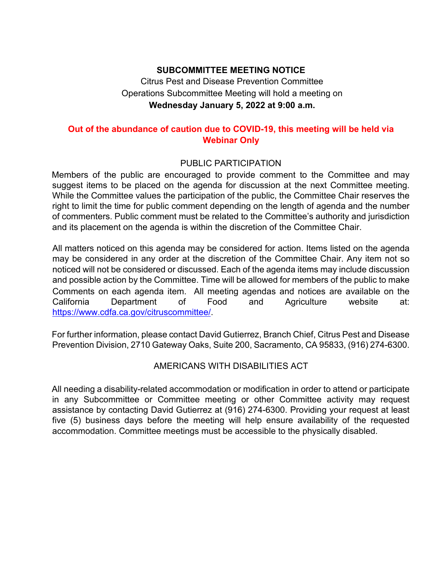## **SUBCOMMITTEE MEETING NOTICE**

Citrus Pest and Disease Prevention Committee Operations Subcommittee Meeting will hold a meeting on **Wednesday January 5, 2022 at 9:00 a.m.** 

## **Out of the abundance of caution due to COVID-19, this meeting will be held via Webinar Only**

#### PUBLIC PARTICIPATION

 of commenters. Public comment must be related to the Committee's authority and jurisdiction Members of the public are encouraged to provide comment to the Committee and may suggest items to be placed on the agenda for discussion at the next Committee meeting. While the Committee values the participation of the public, the Committee Chair reserves the right to limit the time for public comment depending on the length of agenda and the number and its placement on the agenda is within the discretion of the Committee Chair.

 may be considered in any order at the discretion of the Committee Chair. Any item not so noticed will not be considered or discussed. Each of the agenda items may include discussion All matters noticed on this agenda may be considered for action. Items listed on the agenda and possible action by the Committee. Time will be allowed for members of the public to make Comments on each agenda item. All meeting agendas and notices are available on the California Department of Food and Agriculture website at: [https://www.cdfa.ca.gov/citruscommittee/](https://www.cdfa.ca.gov/citruscommittee).

For further information, please contact David Gutierrez, Branch Chief, Citrus Pest and Disease Prevention Division, 2710 Gateway Oaks, Suite 200, Sacramento, CA 95833, (916) 274-6300.

## AMERICANS WITH DISABILITIES ACT

AMERICANS WITH DISABILITIES ACT<br>All needing a disability-related accommodation or modification in order to attend or participate accommodation. Committee meetings must be accessible to the physically disabled. in any Subcommittee or Committee meeting or other Committee activity may request assistance by contacting David Gutierrez at (916) 274-6300. Providing your request at least five (5) business days before the meeting will help ensure availability of the requested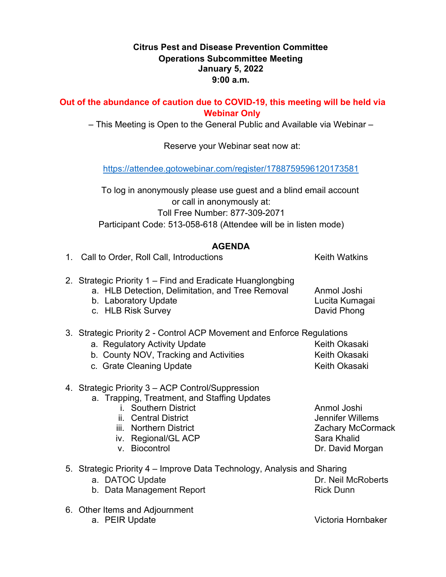## **January 5, 2022 Citrus Pest and Disease Prevention Committee Operations Subcommittee Meeting 9:00 a.m.**

#### **Out of the abundance of caution due to COVID-19, this meeting will be held via Webinar Only**

– This Meeting is Open to the General Public and Available via Webinar –

Reserve your Webinar seat now at:

[https://attendee.gotowebinar.com/register/1788759596120173581](https://gcc02.safelinks.protection.outlook.com/?url=https%3A%2F%2Fattendee.gotowebinar.com%2Fregister%2F1788759596120173581&data=04%7C01%7CDavid.Gutierrez%40cdfa.ca.gov%7Cbea1198659bb42221c1d08d8c8b071b2%7Cafdfd251a22248978cbaae68cabfffbc%7C0%7C0%7C637480007431111524%7CUnknown%7CTWFpbGZsb3d8eyJWIjoiMC4wLjAwMDAiLCJQIjoiV2luMzIiLCJBTiI6Ik1haWwiLCJXVCI6Mn0%3D%7C1000&sdata=SwotOJom%2F1ut7nY9foWrOMISoF4atmhEKlwREltLecY%3D&reserved=0) 

 or call in anonymously at: To log in anonymously please use guest and a blind email account Toll Free Number: 877-309-2071 Participant Code: 513-058-618 (Attendee will be in listen mode)

# **AGENDA**

| 1. Call to Order, Roll Call, Introductions                                                                                                                                                                          | <b>Keith Watkins</b>                                                                    |
|---------------------------------------------------------------------------------------------------------------------------------------------------------------------------------------------------------------------|-----------------------------------------------------------------------------------------|
| 2. Strategic Priority 1 – Find and Eradicate Huanglongbing<br>a. HLB Detection, Delimitation, and Tree Removal<br>b. Laboratory Update<br>c. HLB Risk Survey                                                        | Anmol Joshi<br>Lucita Kumagai<br>David Phong                                            |
| 3. Strategic Priority 2 - Control ACP Movement and Enforce Regulations<br>a. Regulatory Activity Update<br>b. County NOV, Tracking and Activities<br>c. Grate Cleaning Update                                       | Keith Okasaki<br>Keith Okasaki<br>Keith Okasaki                                         |
| 4. Strategic Priority 3 – ACP Control/Suppression<br>a. Trapping, Treatment, and Staffing Updates<br>i. Southern District<br>ii. Central District<br>iii. Northern District<br>iv. Regional/GL ACP<br>v. Biocontrol | Anmol Joshi<br>Jennifer Willems<br>Zachary McCormack<br>Sara Khalid<br>Dr. David Morgan |
| 5. Strategic Priority 4 – Improve Data Technology, Analysis and Sharing<br>a. DATOC Update<br>b. Data Management Report                                                                                             | Dr. Neil McRoberts<br><b>Rick Dunn</b>                                                  |
| 6. Other Items and Adjournment                                                                                                                                                                                      |                                                                                         |

a. PEIR Update Victoria Hornbaker